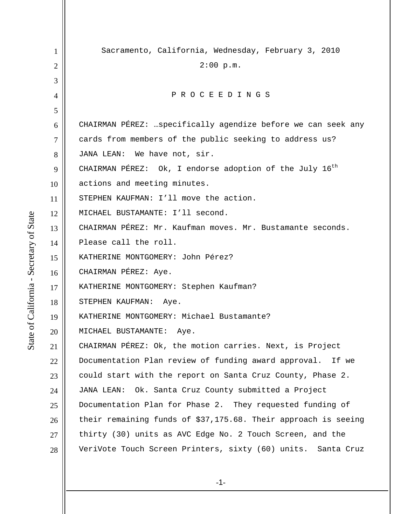1 2 3 4 5 6 7 8 9 10 11 12 13 14 15 16 17 18 19 20 21 22 23 24 25 26 27 28 Sacramento, California, Wednesday, February 3, 2010  $2:00$  p.m. P R O C E E D I N G S CHAIRMAN PÉREZ: …specifically agendize before we can seek any cards from members of the public seeking to address us? JANA LEAN: We have not, sir. CHAIRMAN PÉREZ: Ok, I endorse adoption of the July  $16^{th}$ actions and meeting minutes. STEPHEN KAUFMAN: I'll move the action. MICHAEL BUSTAMANTE: I'll second. CHAIRMAN PÉREZ: Mr. Kaufman moves. Mr. Bustamante seconds. Please call the roll. KATHERINE MONTGOMERY: John Pérez? CHAIRMAN PÉREZ: Aye. KATHERINE MONTGOMERY: Stephen Kaufman? STEPHEN KAUFMAN: Aye. KATHERINE MONTGOMERY: Michael Bustamante? MICHAEL BUSTAMANTE: Aye. CHAIRMAN PÉREZ: Ok, the motion carries. Next, is Project Documentation Plan review of funding award approval. If we could start with the report on Santa Cruz County, Phase 2. JANA LEAN: Ok. Santa Cruz County submitted a Project Documentation Plan for Phase 2. They requested funding of their remaining funds of \$37,175.68. Their approach is seeing thirty (30) units as AVC Edge No. 2 Touch Screen, and the VeriVote Touch Screen Printers, sixty (60) units. Santa Cruz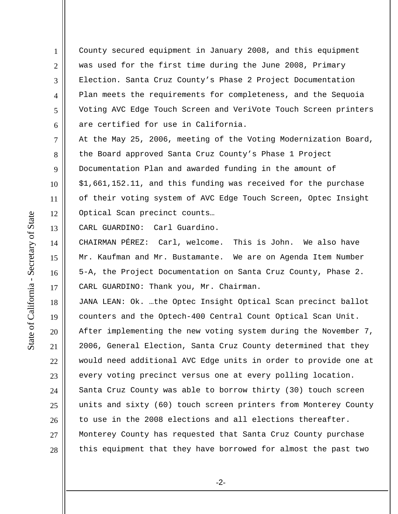County secured equipment in January 2008, and this equipment was used for the first time during the June 2008, Primary Election. Santa Cruz County's Phase 2 Project Documentation Plan meets the requirements for completeness, and the Sequoia Voting AVC Edge Touch Screen and VeriVote Touch Screen printers are certified for use in California.

At the May 25, 2006, meeting of the Voting Modernization Board, the Board approved Santa Cruz County's Phase 1 Project Documentation Plan and awarded funding in the amount of \$1,661,152.11, and this funding was received for the purchase of their voting system of AVC Edge Touch Screen, Optec Insight Optical Scan precinct counts…

13 CARL GUARDINO: Carl Guardino.

14 16 17 CHAIRMAN PÉREZ: Carl, welcome. This is John. We also have Mr. Kaufman and Mr. Bustamante. We are on Agenda Item Number 5-A, the Project Documentation on Santa Cruz County, Phase 2. CARL GUARDINO: Thank you, Mr. Chairman.

18 19 20 21 22 23 24 25 26 27 28 JANA LEAN: Ok. …the Optec Insight Optical Scan precinct ballot counters and the Optech-400 Central Count Optical Scan Unit. After implementing the new voting system during the November 7, 2006, General Election, Santa Cruz County determined that they would need additional AVC Edge units in order to provide one at every voting precinct versus one at every polling location. Santa Cruz County was able to borrow thirty (30) touch screen units and sixty (60) touch screen printers from Monterey County to use in the 2008 elections and all elections thereafter. Monterey County has requested that Santa Cruz County purchase this equipment that they have borrowed for almost the past two

1

2

3

4

5

6

7

8

9

10

11

12

15

-2-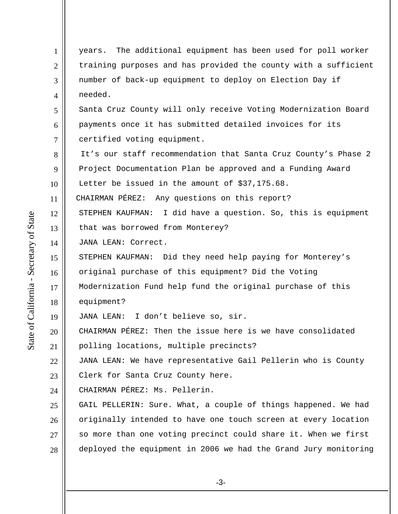1 2 3 4 5 6 7 8 9 10 11 12 13 14 15 16 17 18 19 20 21 22 23 24 25 26 27 28 years. The additional equipment has been used for poll worker training purposes and has provided the county with a sufficient number of back-up equipment to deploy on Election Day if needed. Santa Cruz County will only receive Voting Modernization Board payments once it has submitted detailed invoices for its certified voting equipment. It's our staff recommendation that Santa Cruz County's Phase 2 Project Documentation Plan be approved and a Funding Award Letter be issued in the amount of \$37,175.68. CHAIRMAN PÉREZ: Any questions on this report? STEPHEN KAUFMAN: I did have a question. So, this is equipment that was borrowed from Monterey? JANA LEAN: Correct. STEPHEN KAUFMAN: Did they need help paying for Monterey's original purchase of this equipment? Did the Voting Modernization Fund help fund the original purchase of this equipment? JANA LEAN: I don't believe so, sir. CHAIRMAN PÉREZ: Then the issue here is we have consolidated polling locations, multiple precincts? JANA LEAN: We have representative Gail Pellerin who is County Clerk for Santa Cruz County here. CHAIRMAN PÉREZ: Ms. Pellerin. GAIL PELLERIN: Sure. What, a couple of things happened. We had originally intended to have one touch screen at every location so more than one voting precinct could share it. When we first deployed the equipment in 2006 we had the Grand Jury monitoring

State of California - Secretary of State State of California - Secretary of State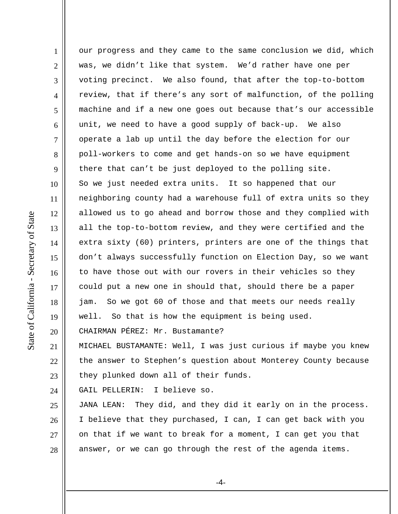1 2 3 4 5 6 7 8 9 10 11 12 13 14 15 16 17 18 19 20 21 22 our progress and they came to the same conclusion we did, which was, we didn't like that system. We'd rather have one per voting precinct. We also found, that after the top-to-bottom review, that if there's any sort of malfunction, of the polling machine and if a new one goes out because that's our accessible unit, we need to have a good supply of back-up. We also operate a lab up until the day before the election for our poll-workers to come and get hands-on so we have equipment there that can't be just deployed to the polling site. So we just needed extra units. It so happened that our neighboring county had a warehouse full of extra units so they allowed us to go ahead and borrow those and they complied with all the top-to-bottom review, and they were certified and the extra sixty (60) printers, printers are one of the things that don't always successfully function on Election Day, so we want to have those out with our rovers in their vehicles so they could put a new one in should that, should there be a paper jam. So we got 60 of those and that meets our needs really well. So that is how the equipment is being used. CHAIRMAN PÉREZ: Mr. Bustamante? MICHAEL BUSTAMANTE: Well, I was just curious if maybe you knew the answer to Stephen's question about Monterey County because

23 they plunked down all of their funds.

24 GAIL PELLERIN: I believe so.

25 26 27 28 JANA LEAN: They did, and they did it early on in the process. I believe that they purchased, I can, I can get back with you on that if we want to break for a moment, I can get you that answer, or we can go through the rest of the agenda items.

-4-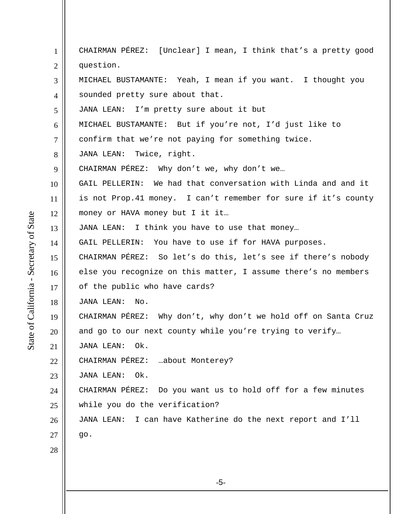-5- 1 2 3 4 5 6 7 8 9 10 11 12 13 14 15 16 17 18 19 20 21 22 23 24 25 26 27 28 CHAIRMAN PÉREZ: [Unclear] I mean, I think that's a pretty good question. MICHAEL BUSTAMANTE: Yeah, I mean if you want. I thought you sounded pretty sure about that. JANA LEAN: I'm pretty sure about it but MICHAEL BUSTAMANTE: But if you're not, I'd just like to confirm that we're not paying for something twice. JANA LEAN: Twice, right. CHAIRMAN PÉREZ: Why don't we, why don't we… GAIL PELLERIN: We had that conversation with Linda and and it is not Prop.41 money. I can't remember for sure if it's county money or HAVA money but I it it… JANA LEAN: I think you have to use that money… GAIL PELLERIN: You have to use if for HAVA purposes. CHAIRMAN PÉREZ: So let's do this, let's see if there's nobody else you recognize on this matter, I assume there's no members of the public who have cards? JANA LEAN: No. CHAIRMAN PÉREZ: Why don't, why don't we hold off on Santa Cruz and go to our next county while you're trying to verify… JANA LEAN: Ok. CHAIRMAN PÉREZ: …about Monterey? JANA LEAN: Ok. CHAIRMAN PÉREZ: Do you want us to hold off for a few minutes while you do the verification? JANA LEAN: I can have Katherine do the next report and I'll go.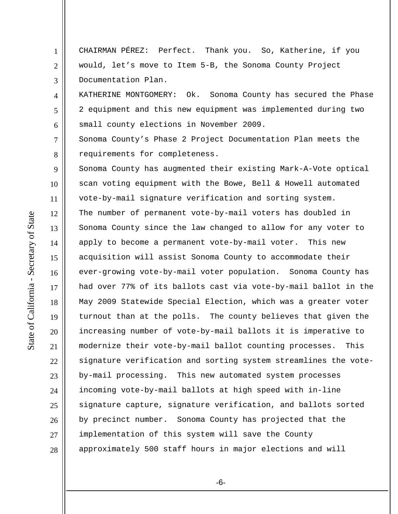CHAIRMAN PÉREZ: Perfect. Thank you. So, Katherine, if you would, let's move to Item 5-B, the Sonoma County Project Documentation Plan.

KATHERINE MONTGOMERY: Ok. Sonoma County has secured the Phase 2 equipment and this new equipment was implemented during two small county elections in November 2009.

Sonoma County's Phase 2 Project Documentation Plan meets the requirements for completeness.

9 10 11 12 13 14 15 16 17 18 19 20 21 22 23 24 25 26 27 28 Sonoma County has augmented their existing Mark-A-Vote optical scan voting equipment with the Bowe, Bell & Howell automated vote-by-mail signature verification and sorting system. The number of permanent vote-by-mail voters has doubled in Sonoma County since the law changed to allow for any voter to apply to become a permanent vote-by-mail voter. This new acquisition will assist Sonoma County to accommodate their ever-growing vote-by-mail voter population. Sonoma County has had over 77% of its ballots cast via vote-by-mail ballot in the May 2009 Statewide Special Election, which was a greater voter turnout than at the polls. The county believes that given the increasing number of vote-by-mail ballots it is imperative to modernize their vote-by-mail ballot counting processes. This signature verification and sorting system streamlines the voteby-mail processing. This new automated system processes incoming vote-by-mail ballots at high speed with in-line signature capture, signature verification, and ballots sorted by precinct number. Sonoma County has projected that the implementation of this system will save the County approximately 500 staff hours in major elections and will

1

2

3

4

5

6

7

8

-6-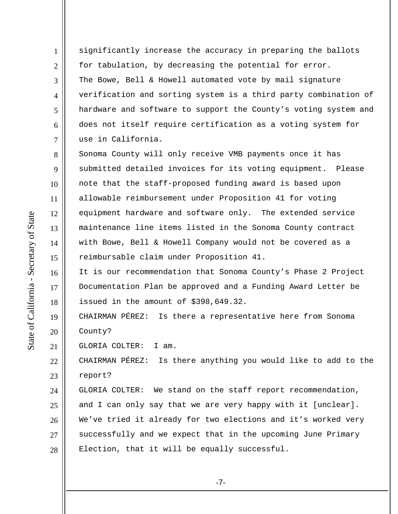significantly increase the accuracy in preparing the ballots for tabulation, by decreasing the potential for error. The Bowe, Bell & Howell automated vote by mail signature verification and sorting system is a third party combination of hardware and software to support the County's voting system and does not itself require certification as a voting system for use in California.

8 9 10 11 12 13 14 15 Sonoma County will only receive VMB payments once it has submitted detailed invoices for its voting equipment. Please note that the staff-proposed funding award is based upon allowable reimbursement under Proposition 41 for voting equipment hardware and software only. The extended service maintenance line items listed in the Sonoma County contract with Bowe, Bell & Howell Company would not be covered as a reimbursable claim under Proposition 41.

16 It is our recommendation that Sonoma County's Phase 2 Project Documentation Plan be approved and a Funding Award Letter be issued in the amount of \$398,649.32.

19 20 CHAIRMAN PÉREZ: Is there a representative here from Sonoma County?

21 GLORIA COLTER: I am.

22 23 CHAIRMAN PÉREZ: Is there anything you would like to add to the report?

24 25 26 27 28 GLORIA COLTER: We stand on the staff report recommendation, and I can only say that we are very happy with it [unclear]. We've tried it already for two elections and it's worked very successfully and we expect that in the upcoming June Primary Election, that it will be equally successful.

17

18

1

2

3

4

5

6

7

-7-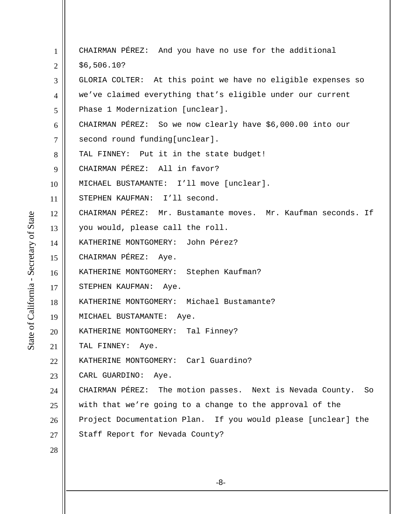| GLORIA COLTER: At this point we have no eligible expenses so    |
|-----------------------------------------------------------------|
| we've claimed everything that's eligible under our current      |
|                                                                 |
| CHAIRMAN PÉREZ: So we now clearly have \$6,000.00 into our      |
|                                                                 |
|                                                                 |
|                                                                 |
|                                                                 |
|                                                                 |
| CHAIRMAN PÉREZ: Mr. Bustamante moves. Mr. Kaufman seconds. If   |
|                                                                 |
|                                                                 |
|                                                                 |
|                                                                 |
|                                                                 |
|                                                                 |
|                                                                 |
|                                                                 |
|                                                                 |
|                                                                 |
|                                                                 |
| CHAIRMAN PÉREZ: The motion passes. Next is Nevada County.<br>So |
| with that we're going to a change to the approval of the        |
| Project Documentation Plan. If you would please [unclear] the   |
|                                                                 |
|                                                                 |
|                                                                 |
|                                                                 |

-8-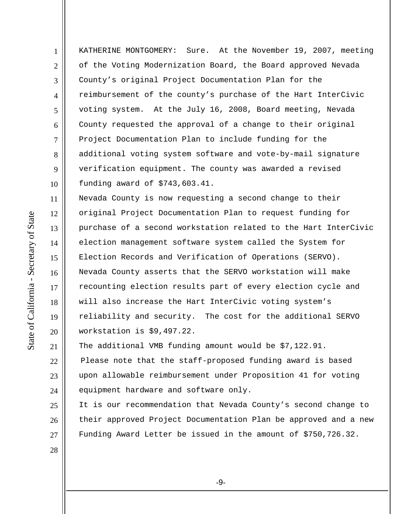KATHERINE MONTGOMERY: Sure. At the November 19, 2007, meeting of the Voting Modernization Board, the Board approved Nevada County's original Project Documentation Plan for the reimbursement of the county's purchase of the Hart InterCivic voting system. At the July 16, 2008, Board meeting, Nevada County requested the approval of a change to their original Project Documentation Plan to include funding for the additional voting system software and vote-by-mail signature verification equipment. The county was awarded a revised funding award of \$743,603.41.

11 12 13 14 15 16 17 18 19 20 Nevada County is now requesting a second change to their original Project Documentation Plan to request funding for purchase of a second workstation related to the Hart InterCivic election management software system called the System for Election Records and Verification of Operations (SERVO). Nevada County asserts that the SERVO workstation will make recounting election results part of every election cycle and will also increase the Hart InterCivic voting system's reliability and security. The cost for the additional SERVO workstation is \$9,497.22.

21 The additional VMB funding amount would be \$7,122.91.

22 23 24 Please note that the staff-proposed funding award is based upon allowable reimbursement under Proposition 41 for voting equipment hardware and software only.

25 26 27 It is our recommendation that Nevada County's second change to their approved Project Documentation Plan be approved and a new Funding Award Letter be issued in the amount of \$750,726.32.

State of California - Secretary of State State of California - Secretary of State

1

2

3

4

5

6

7

8

9

10

28

-9-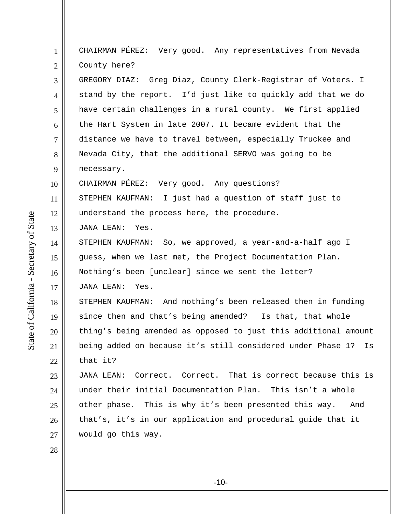1 2 3 4 5 6 7 8 9 10 11 12 13 14 15 16 17 18 19 20 21 22 23 24 25 26 27 28 CHAIRMAN PÉREZ: Very good. Any representatives from Nevada County here? GREGORY DIAZ: Greg Diaz, County Clerk-Registrar of Voters. I stand by the report. I'd just like to quickly add that we do have certain challenges in a rural county. We first applied the Hart System in late 2007. It became evident that the distance we have to travel between, especially Truckee and Nevada City, that the additional SERVO was going to be necessary. CHAIRMAN PÉREZ: Very good. Any questions? STEPHEN KAUFMAN: I just had a question of staff just to understand the process here, the procedure. JANA LEAN: Yes. STEPHEN KAUFMAN: So, we approved, a year-and-a-half ago I guess, when we last met, the Project Documentation Plan. Nothing's been [unclear] since we sent the letter? JANA LEAN: Yes. STEPHEN KAUFMAN: And nothing's been released then in funding since then and that's being amended? Is that, that whole thing's being amended as opposed to just this additional amount being added on because it's still considered under Phase 1? Is that it? JANA LEAN: Correct. Correct. That is correct because this is under their initial Documentation Plan. This isn't a whole other phase. This is why it's been presented this way. And that's, it's in our application and procedural guide that it would go this way.

State of California - Secretary of State State of California - Secretary of State

-10-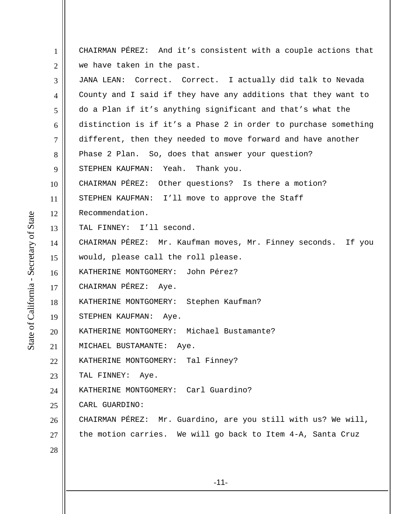1 2 3 4 5 6 7 8 9 10 11 12 13 14 15 16 17 18 19 20 21 22 23 24 25 26 27 28 CHAIRMAN PÉREZ: And it's consistent with a couple actions that we have taken in the past. JANA LEAN: Correct. Correct. I actually did talk to Nevada County and I said if they have any additions that they want to do a Plan if it's anything significant and that's what the distinction is if it's a Phase 2 in order to purchase something different, then they needed to move forward and have another Phase 2 Plan. So, does that answer your question? STEPHEN KAUFMAN: Yeah. Thank you. CHAIRMAN PÉREZ: Other questions? Is there a motion? STEPHEN KAUFMAN: I'll move to approve the Staff Recommendation. TAL FINNEY: I'll second. CHAIRMAN PÉREZ: Mr. Kaufman moves, Mr. Finney seconds. If you would, please call the roll please. KATHERINE MONTGOMERY: John Pérez? CHAIRMAN PÉREZ: Aye. KATHERINE MONTGOMERY: Stephen Kaufman? STEPHEN KAUFMAN: Aye. KATHERINE MONTGOMERY: Michael Bustamante? MICHAEL BUSTAMANTE: Aye. KATHERINE MONTGOMERY: Tal Finney? TAL FINNEY: Aye. KATHERINE MONTGOMERY: Carl Guardino? CARL GUARDINO: CHAIRMAN PÉREZ: Mr. Guardino, are you still with us? We will, the motion carries. We will go back to Item 4-A, Santa Cruz

-11-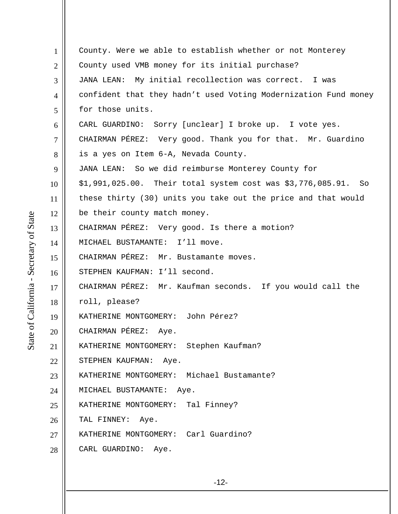1 2 3 4 5 6 7 8 9 10 11 12 13 14 15 16 17 18 19 20 21 22 23 24 25 26 27 28 County. Were we able to establish whether or not Monterey County used VMB money for its initial purchase? JANA LEAN: My initial recollection was correct. I was confident that they hadn't used Voting Modernization Fund money for those units. CARL GUARDINO: Sorry [unclear] I broke up. I vote yes. CHAIRMAN PÉREZ: Very good. Thank you for that. Mr. Guardino is a yes on Item 6-A, Nevada County. JANA LEAN: So we did reimburse Monterey County for \$1,991,025.00. Their total system cost was \$3,776,085.91. So these thirty (30) units you take out the price and that would be their county match money. CHAIRMAN PÉREZ: Very good. Is there a motion? MICHAEL BUSTAMANTE: I'll move. CHAIRMAN PÉREZ: Mr. Bustamante moves. STEPHEN KAUFMAN: I'll second. CHAIRMAN PÉREZ: Mr. Kaufman seconds. If you would call the roll, please? KATHERINE MONTGOMERY: John Pérez? CHAIRMAN PÉREZ: Aye. KATHERINE MONTGOMERY: Stephen Kaufman? STEPHEN KAUFMAN: Aye. KATHERINE MONTGOMERY: Michael Bustamante? MICHAEL BUSTAMANTE: Aye. KATHERINE MONTGOMERY: Tal Finney? TAL FINNEY: Aye. KATHERINE MONTGOMERY: Carl Guardino? CARL GUARDINO: Aye.

State of California - Secretary of State State of California - Secretary of State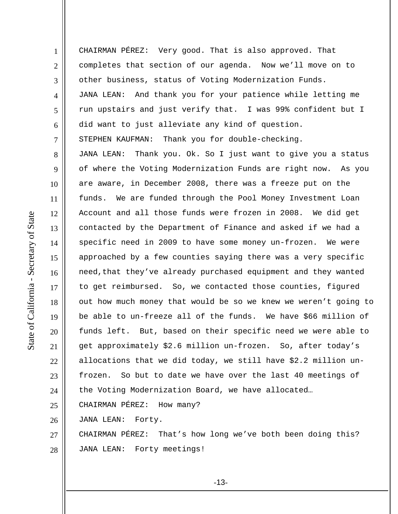1 2 3 4 5 6 7 8 9 10 11 12 13 14 15 16 17 18 19 20 21 22 23 24 25 CHAIRMAN PÉREZ: Very good. That is also approved. That completes that section of our agenda. Now we'll move on to other business, status of Voting Modernization Funds. JANA LEAN: And thank you for your patience while letting me run upstairs and just verify that. I was 99% confident but I did want to just alleviate any kind of question. STEPHEN KAUFMAN: Thank you for double-checking. JANA LEAN: Thank you. Ok. So I just want to give you a status of where the Voting Modernization Funds are right now. As you are aware, in December 2008, there was a freeze put on the funds. We are funded through the Pool Money Investment Loan Account and all those funds were frozen in 2008. We did get contacted by the Department of Finance and asked if we had a specific need in 2009 to have some money un-frozen. We were approached by a few counties saying there was a very specific need, that they've already purchased equipment and they wanted to get reimbursed. So, we contacted those counties, figured out how much money that would be so we knew we weren't going to be able to un-freeze all of the funds. We have \$66 million of funds left. But, based on their specific need we were able to get approximately \$2.6 million un-frozen. So, after today's allocations that we did today, we still have \$2.2 million unfrozen. So but to date we have over the last 40 meetings of the Voting Modernization Board, we have allocated… CHAIRMAN PÉREZ: How many?

26 JANA LEAN: Forty.

27 28 CHAIRMAN PÉREZ: That's how long we've both been doing this? JANA LEAN: Forty meetings!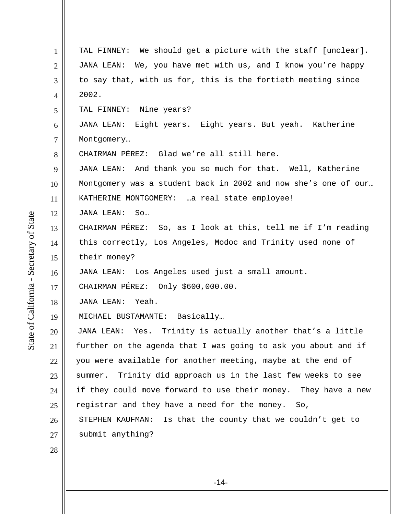| $\mathbf{1}$   | TAL FINNEY: We should get a picture with the staff [unclear].   |
|----------------|-----------------------------------------------------------------|
| $\overline{2}$ | JANA LEAN: We, you have met with us, and I know you're happy    |
| 3              | to say that, with us for, this is the fortieth meeting since    |
| 4              | 2002.                                                           |
| 5              | TAL FINNEY: Nine years?                                         |
| 6              | JANA LEAN: Eight years. Eight years. But yeah. Katherine        |
| $\tau$         | Montgomery                                                      |
| 8              | CHAIRMAN PÉREZ: Glad we're all still here.                      |
| 9              | JANA LEAN: And thank you so much for that. Well, Katherine      |
| 10             | Montgomery was a student back in 2002 and now she's one of our  |
| 11             | KATHERINE MONTGOMERY: a real state employee!                    |
| 12             | JANA LEAN:<br>So                                                |
| 13             | CHAIRMAN PÉREZ: So, as I look at this, tell me if I'm reading   |
| 14             | this correctly, Los Angeles, Modoc and Trinity used none of     |
| 15             | their money?                                                    |
| 16             | JANA LEAN: Los Angeles used just a small amount.                |
| 17             | CHAIRMAN PÉREZ: Only \$600,000.00.                              |
| 18             | Yeah.<br>JANA LEAN:                                             |
| 19             | MICHAEL BUSTAMANTE: Basically                                   |
| 20             | JANA LEAN: Yes. Trinity is actually another that's a little     |
| 21             | further on the agenda that I was going to ask you about and if  |
| 22             | you were available for another meeting, maybe at the end of     |
| 23             | Trinity did approach us in the last few weeks to see<br>summer. |
| 24             | if they could move forward to use their money. They have a new  |
| 25             | registrar and they have a need for the money. So,               |
| 26             | STEPHEN KAUFMAN:<br>Is that the county that we couldn't get to  |
| 27             | submit anything?                                                |
| 28             |                                                                 |
|                |                                                                 |
|                |                                                                 |

-14-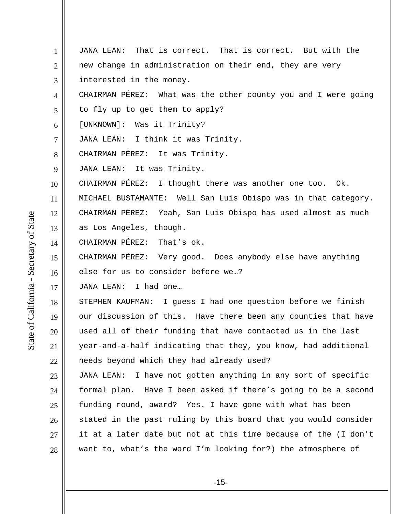1 2 3 4 5 6 7 8 9 10 11 12 13 14 15 16 17 18 19 20 21 22 23 24 25 26 27 28 JANA LEAN: That is correct. That is correct. But with the new change in administration on their end, they are very interested in the money. CHAIRMAN PÉREZ: What was the other county you and I were going to fly up to get them to apply? [UNKNOWN]: Was it Trinity? JANA LEAN: I think it was Trinity. CHAIRMAN PÉREZ: It was Trinity. JANA LEAN: It was Trinity. CHAIRMAN PÉREZ: I thought there was another one too. Ok. MICHAEL BUSTAMANTE: Well San Luis Obispo was in that category. CHAIRMAN PÉREZ: Yeah, San Luis Obispo has used almost as much as Los Angeles, though. CHAIRMAN PÉREZ: That's ok. CHAIRMAN PÉREZ: Very good. Does anybody else have anything else for us to consider before we…? JANA LEAN: I had one… STEPHEN KAUFMAN: I guess I had one question before we finish our discussion of this. Have there been any counties that have used all of their funding that have contacted us in the last year-and-a-half indicating that they, you know, had additional needs beyond which they had already used? JANA LEAN: I have not gotten anything in any sort of specific formal plan. Have I been asked if there's going to be a second funding round, award? Yes. I have gone with what has been stated in the past ruling by this board that you would consider it at a later date but not at this time because of the (I don't want to, what's the word I'm looking for?) the atmosphere of

-15-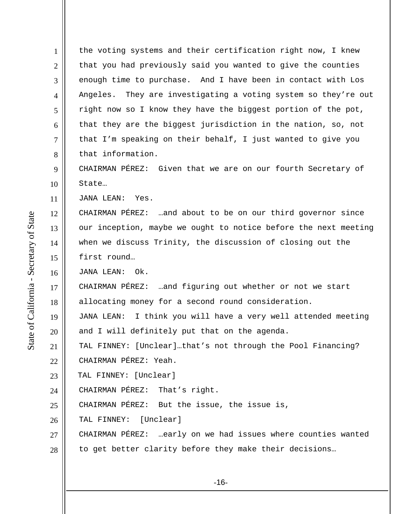1 2 3 4 5 6 7 8 9 10 the voting systems and their certification right now, I knew that you had previously said you wanted to give the counties enough time to purchase. And I have been in contact with Los Angeles. They are investigating a voting system so they're out right now so I know they have the biggest portion of the pot, that they are the biggest jurisdiction in the nation, so, not that I'm speaking on their behalf, I just wanted to give you that information. CHAIRMAN PÉREZ: Given that we are on our fourth Secretary of State…

11 JANA LEAN: Yes.

12 13 14 15 CHAIRMAN PÉREZ: …and about to be on our third governor since our inception, maybe we ought to notice before the next meeting when we discuss Trinity, the discussion of closing out the first round…

16 JANA LEAN: Ok.

17 18 CHAIRMAN PÉREZ: …and figuring out whether or not we start allocating money for a second round consideration.

19 20 JANA LEAN: I think you will have a very well attended meeting and I will definitely put that on the agenda.

21 22 TAL FINNEY: [Unclear]…that's not through the Pool Financing? CHAIRMAN PÉREZ: Yeah.

23 TAL FINNEY: [Unclear]

24 CHAIRMAN PÉREZ: That's right.

25 CHAIRMAN PÉREZ: But the issue, the issue is,

26 TAL FINNEY: [Unclear]

27 CHAIRMAN PÉREZ: …early on we had issues where counties wanted

28 to get better clarity before they make their decisions…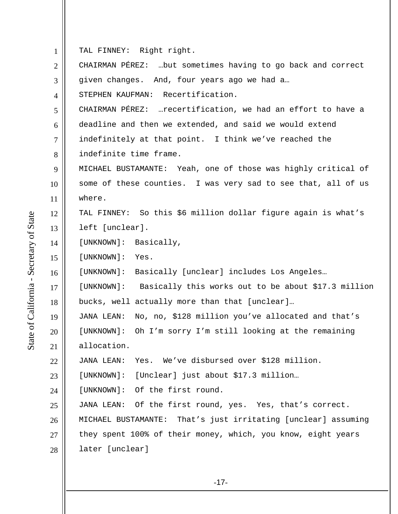1 TAL FINNEY: Right right.

| $\overline{2}$ | CHAIRMAN PÉREZ:  but sometimes having to go back and correct    |
|----------------|-----------------------------------------------------------------|
| 3              | given changes. And, four years ago we had a                     |
| $\overline{4}$ | STEPHEN KAUFMAN: Recertification.                               |
| 5              | CHAIRMAN PÉREZ:  recertification, we had an effort to have a    |
| 6              | deadline and then we extended, and said we would extend         |
| $\overline{7}$ | indefinitely at that point. I think we've reached the           |
| 8              | indefinite time frame.                                          |
| 9              | MICHAEL BUSTAMANTE: Yeah, one of those was highly critical of   |
| 10             | some of these counties. I was very sad to see that, all of us   |
| 11             | where.                                                          |
| 12             | TAL FINNEY: So this \$6 million dollar figure again is what's   |
| 13             | left [unclear].                                                 |
| 14             | [UNKNOWN]: Basically,                                           |
| 15             | [UNKNOWN]: Yes.                                                 |
|                |                                                                 |
|                | [UNKNOWN]: Basically [unclear] includes Los Angeles             |
| 16<br>17       | [UNKNOWN]: Basically this works out to be about \$17.3 million  |
| 18             | bucks, well actually more than that [unclear]                   |
| 19             | No, no, \$128 million you've allocated and that's<br>JANA LEAN: |
| 20             | [UNKNOWN]: Oh I'm sorry I'm still looking at the remaining      |
| 21             | allocation.                                                     |
| 22             | JANA LEAN: Yes. We've disbursed over \$128 million.             |
|                | [Unclear] just about \$17.3 million<br>[UNKNOWN]:               |
| 23<br>24       | [UNKNOWN]: Of the first round.                                  |
| 25             | JANA LEAN: Of the first round, yes. Yes, that's correct.        |
| 26             | MICHAEL BUSTAMANTE: That's just irritating [unclear] assuming   |
| 27             | they spent 100% of their money, which, you know, eight years    |
| 28             | later [unclear]                                                 |

State of California - Secretary of State State of California - Secretary of State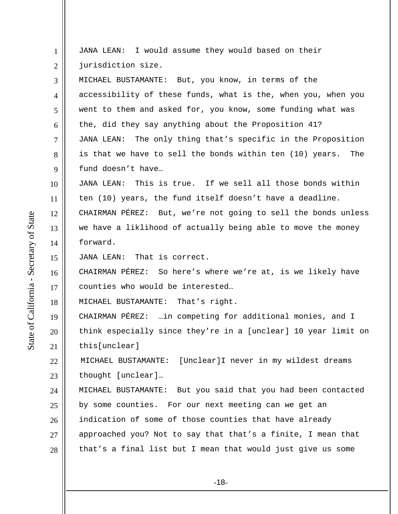| $\mathbf{1}$   | JANA LEAN: I would assume they would based on their             |
|----------------|-----------------------------------------------------------------|
| $\mathbf{2}$   | jurisdiction size.                                              |
| 3              | MICHAEL BUSTAMANTE: But, you know, in terms of the              |
| $\overline{4}$ | accessibility of these funds, what is the, when you, when you   |
| 5              | went to them and asked for, you know, some funding what was     |
| 6              | the, did they say anything about the Proposition 41?            |
| 7              | JANA LEAN: The only thing that's specific in the Proposition    |
| 8              | is that we have to sell the bonds within ten (10) years.<br>The |
| 9              | fund doesn't have                                               |
| 10             | JANA LEAN: This is true. If we sell all those bonds within      |
| 11             | ten (10) years, the fund itself doesn't have a deadline.        |
| 12             | CHAIRMAN PÉREZ: But, we're not going to sell the bonds unless   |
| 13             | we have a liklihood of actually being able to move the money    |
| 14             | forward.                                                        |
| 15             | JANA LEAN: That is correct.                                     |
| 16             | CHAIRMAN PÉREZ: So here's where we're at, is we likely have     |
| 17             | counties who would be interested                                |
| 18             | MICHAEL BUSTAMANTE: That's right.                               |
| 19             | CHAIRMAN PÉREZ:  in competing for additional monies, and I      |
| 20             | think especially since they're in a [unclear] 10 year limit on  |
| 21             | this[unclear]                                                   |
| 22             | [Unclear]I never in my wildest dreams<br>MICHAEL BUSTAMANTE:    |
| 23             | thought [unclear]                                               |
| 24             | MICHAEL BUSTAMANTE: But you said that you had been contacted    |
| 25             | by some counties. For our next meeting can we get an            |
| 26             | indication of some of those counties that have already          |
| 27             | approached you? Not to say that that's a finite, I mean that    |
| 28             | that's a final list but I mean that would just give us some     |
|                |                                                                 |

-18-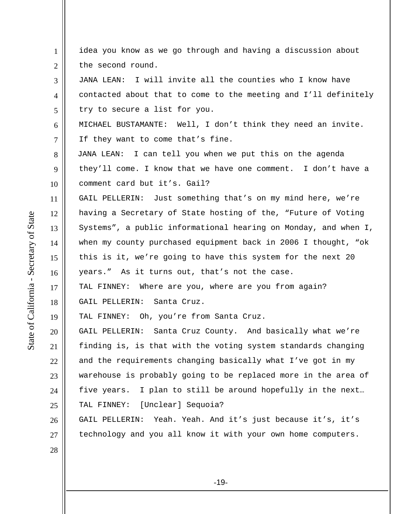1 2 3 4 5 6 7 8 9 10 11 12 13 14 15 16 17 18 19 20 21 22 23 24 25 26 27 28 idea you know as we go through and having a discussion about the second round. JANA LEAN: I will invite all the counties who I know have contacted about that to come to the meeting and I'll definitely try to secure a list for you. MICHAEL BUSTAMANTE: Well, I don't think they need an invite. If they want to come that's fine. JANA LEAN: I can tell you when we put this on the agenda they'll come. I know that we have one comment. I don't have a comment card but it's. Gail? GAIL PELLERIN: Just something that's on my mind here, we're having a Secretary of State hosting of the, "Future of Voting Systems", a public informational hearing on Monday, and when I, when my county purchased equipment back in 2006 I thought, "ok this is it, we're going to have this system for the next 20 years." As it turns out, that's not the case. TAL FINNEY: Where are you, where are you from again? GAIL PELLERIN: Santa Cruz. TAL FINNEY: Oh, you're from Santa Cruz. GAIL PELLERIN: Santa Cruz County. And basically what we're finding is, is that with the voting system standards changing and the requirements changing basically what I've got in my warehouse is probably going to be replaced more in the area of five years. I plan to still be around hopefully in the next… TAL FINNEY: [Unclear] Sequoia? GAIL PELLERIN: Yeah. Yeah. And it's just because it's, it's technology and you all know it with your own home computers.

State of California - Secretary of State State of California - Secretary of State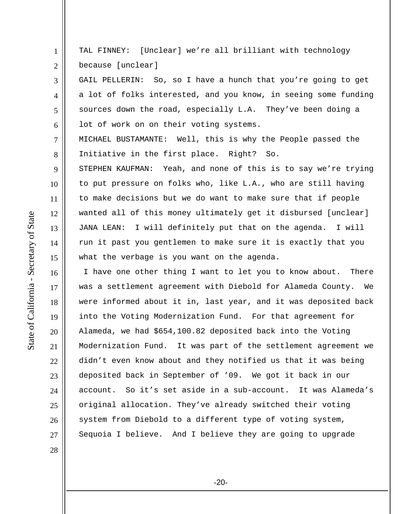TAL FINNEY: [Unclear] we're all brilliant with technology because [unclear]

GAIL PELLERIN: So, so I have a hunch that you're going to get a lot of folks interested, and you know, in seeing some funding sources down the road, especially L.A. They've been doing a lot of work on on their voting systems.

MICHAEL BUSTAMANTE: Well, this is why the People passed the Initiative in the first place. Right? So.

STEPHEN KAUFMAN: Yeah, and none of this is to say we're trying to put pressure on folks who, like L.A., who are still having to make decisions but we do want to make sure that if people wanted all of this money ultimately get it disbursed [unclear] JANA LEAN: I will definitely put that on the agenda. I will run it past you gentlemen to make sure it is exactly that you what the verbage is you want on the agenda.

 I have one other thing I want to let you to know about. There was a settlement agreement with Diebold for Alameda County. We were informed about it in, last year, and it was deposited back into the Voting Modernization Fund. For that agreement for Alameda, we had \$654,100.82 deposited back into the Voting Modernization Fund. It was part of the settlement agreement we didn't even know about and they notified us that it was being deposited back in September of '09. We got it back in our account. So it's set aside in a sub-account. It was Alameda's original allocation. They've already switched their voting system from Diebold to a different type of voting system, Sequoia I believe. And I believe they are going to upgrade

28

1

2

3

4

5

6

7

8

9

10

11

12

13

14

15

16

17

18

19

20

21

22

23

24

25

26

27